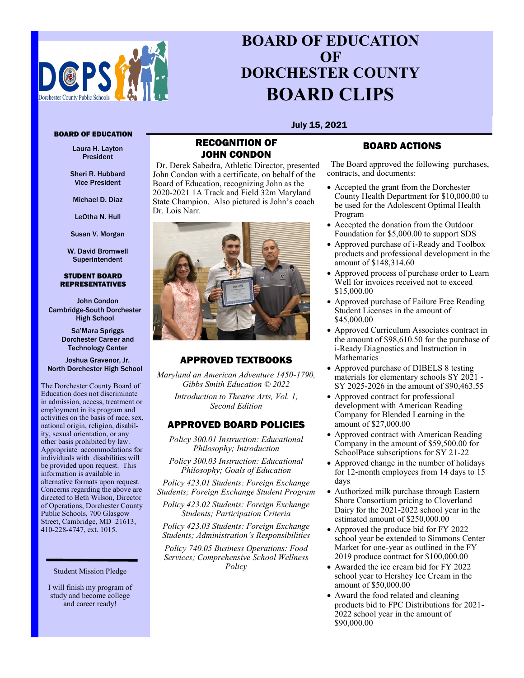

# **BOARD OF EDUCATION OF DORCHESTER COUNTY BOARD CLIPS**

July 15, 2021

### BOARD OF EDUCATION

Laura H. Layton President

Sheri R. Hubbard Vice President

Michael D. Diaz

LeOtha N. Hull

Susan V. Morgan

W. David Bromwell Superintendent

#### STUDENT BOARD REPRESENTATIVES

John Condon Cambridge-South Dorchester High School

> Sa'Mara Spriggs Dorchester Career and Technology Center

Joshua Gravenor, Jr. North Dorchester High School

The Dorchester County Board of Education does not discriminate in admission, access, treatment or employment in its program and activities on the basis of race, sex, national origin, religion, disability, sexual orientation, or any other basis prohibited by law. Appropriate accommodations for individuals with disabilities will be provided upon request. This information is available in alternative formats upon request. Concerns regarding the above are directed to Beth Wilson, Director of Operations, Dorchester County Public Schools, 700 Glasgow Street, Cambridge, MD 21613, 410-228-4747, ext. 1015.

I will finish my program of study and become college and career ready!

### RECOGNITION OF JOHN CONDON

Dr. Derek Sabedra, Athletic Director, presented John Condon with a certificate, on behalf of the Board of Education, recognizing John as the 2020-2021 1A Track and Field 32m Maryland State Champion. Also pictured is John's coach Dr. Lois Narr.



### APPROVED TEXTBOOKS

*Maryland an American Adventure 1450-1790, Gibbs Smith Education © 2022*

> *Introduction to Theatre Arts, Vol. 1, Second Edition*

### APPROVED BOARD POLICIES

*Policy 300.01 Instruction: Educational Philosophy; Introduction*

*Policy 300.03 Instruction: Educational Philosophy; Goals of Education*

*Policy 423.01 Students: Foreign Exchange Students; Foreign Exchange Student Program*

*Policy 423.02 Students: Foreign Exchange Students; Participation Criteria*

*Policy 423.03 Students: Foreign Exchange Students; Administration's Responsibilities*

*Policy 740.05 Business Operations: Food Services; Comprehensive School Wellness Policy* Student Mission Pledge

## BOARD ACTIONS

The Board approved the following purchases, contracts, and documents:

- Accepted the grant from the Dorchester County Health Department for \$10,000.00 to be used for the Adolescent Optimal Health Program
- Accepted the donation from the Outdoor Foundation for \$5,000.00 to support SDS
- Approved purchase of i-Ready and Toolbox products and professional development in the amount of \$148,314.60
- Approved process of purchase order to Learn Well for invoices received not to exceed \$15,000.00
- Approved purchase of Failure Free Reading Student Licenses in the amount of \$45,000.00
- Approved Curriculum Associates contract in the amount of \$98,610.50 for the purchase of i-Ready Diagnostics and Instruction in Mathematics
- Approved purchase of DIBELS 8 testing materials for elementary schools SY 2021 - SY 2025-2026 in the amount of \$90,463.55
- Approved contract for professional development with American Reading Company for Blended Learning in the amount of \$27,000.00
- Approved contract with American Reading Company in the amount of \$59,500.00 for SchoolPace subscriptions for SY 21-22
- Approved change in the number of holidays for 12-month employees from 14 days to 15 days
- Authorized milk purchase through Eastern Shore Consortium pricing to Cloverland Dairy for the 2021-2022 school year in the estimated amount of \$250,000.00
- Approved the produce bid for FY 2022 school year be extended to Simmons Center Market for one-year as outlined in the FY 2019 produce contract for \$100,000.00
- Awarded the ice cream bid for FY 2022 school year to Hershey Ice Cream in the amount of \$50,000.00
- Award the food related and cleaning products bid to FPC Distributions for 2021- 2022 school year in the amount of \$90,000.00